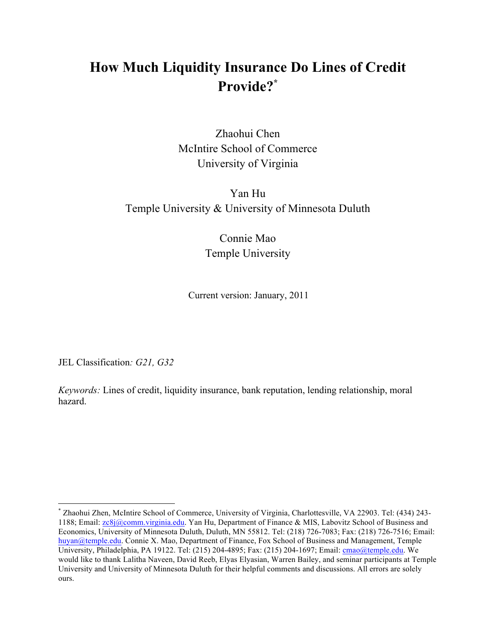## **How Much Liquidity Insurance Do Lines of Credit Provide?\***

Zhaohui Chen McIntire School of Commerce University of Virginia

## Yan Hu Temple University & University of Minnesota Duluth

Connie Mao Temple University

Current version: January, 2011

JEL Classification*: G21, G32*

*Keywords:* Lines of credit, liquidity insurance, bank reputation, lending relationship, moral hazard.

 <sup>\*</sup> Zhaohui Zhen, McIntire School of Commerce, University of Virginia, Charlottesville, VA 22903. Tel: (434) 243- 1188; Email: zc8j@comm.virginia.edu. Yan Hu, Department of Finance & MIS, Labovitz School of Business and Economics, University of Minnesota Duluth, Duluth, MN 55812. Tel: (218) 726-7083; Fax: (218) 726-7516; Email: huyan@temple.edu. Connie X. Mao, Department of Finance, Fox School of Business and Management, Temple University, Philadelphia, PA 19122. Tel: (215) 204-4895; Fax: (215) 204-1697; Email: cmao@temple.edu. We would like to thank Lalitha Naveen, David Reeb, Elyas Elyasian, Warren Bailey, and seminar participants at Temple University and University of Minnesota Duluth for their helpful comments and discussions. All errors are solely ours.